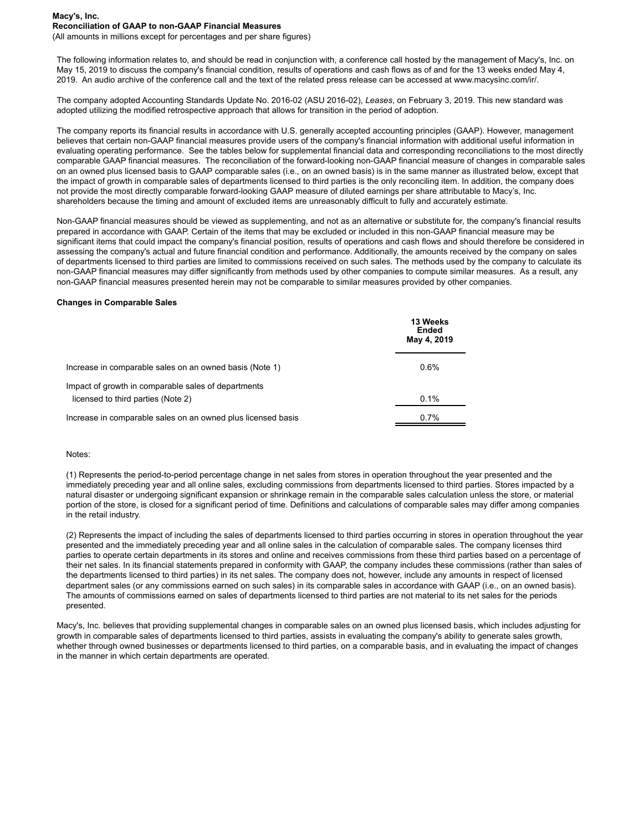#### **Macy's, Inc. Reconciliation of GAAP to non-GAAP Financial Measures**

(All amounts in millions except for percentages and per share figures)

The following information relates to, and should be read in conjunction with, a conference call hosted by the management of Macy's, Inc. on May 15, 2019 to discuss the company's financial condition, results of operations and cash flows as of and for the 13 weeks ended May 4, 2019. An audio archive of the conference call and the text of the related press release can be accessed at www.macysinc.com/ir/.

The company adopted Accounting Standards Update No. 2016-02 (ASU 2016-02), *Leases*, on February 3, 2019. This new standard was adopted utilizing the modified retrospective approach that allows for transition in the period of adoption.

The company reports its financial results in accordance with U.S. generally accepted accounting principles (GAAP). However, management believes that certain non-GAAP financial measures provide users of the company's financial information with additional useful information in evaluating operating performance. See the tables below for supplemental financial data and corresponding reconciliations to the most directly comparable GAAP financial measures. The reconciliation of the forward-looking non-GAAP financial measure of changes in comparable sales on an owned plus licensed basis to GAAP comparable sales (i.e., on an owned basis) is in the same manner as illustrated below, except that the impact of growth in comparable sales of departments licensed to third parties is the only reconciling item. In addition, the company does not provide the most directly comparable forward-looking GAAP measure of diluted earnings per share attributable to Macy's, Inc. shareholders because the timing and amount of excluded items are unreasonably difficult to fully and accurately estimate.

Non-GAAP financial measures should be viewed as supplementing, and not as an alternative or substitute for, the company's financial results prepared in accordance with GAAP. Certain of the items that may be excluded or included in this non-GAAP financial measure may be significant items that could impact the company's financial position, results of operations and cash flows and should therefore be considered in assessing the company's actual and future financial condition and performance. Additionally, the amounts received by the company on sales of departments licensed to third parties are limited to commissions received on such sales. The methods used by the company to calculate its non-GAAP financial measures may differ significantly from methods used by other companies to compute similar measures. As a result, any non-GAAP financial measures presented herein may not be comparable to similar measures provided by other companies.

#### **Changes in Comparable Sales**

|                                                                                           | 13 Weeks<br><b>Ended</b><br>May 4, 2019 |
|-------------------------------------------------------------------------------------------|-----------------------------------------|
| Increase in comparable sales on an owned basis (Note 1)                                   | 0.6%                                    |
| Impact of growth in comparable sales of departments<br>licensed to third parties (Note 2) | 0.1%                                    |
| Increase in comparable sales on an owned plus licensed basis                              | 0.7%                                    |

#### Notes:

(1) Represents the period-to-period percentage change in net sales from stores in operation throughout the year presented and the immediately preceding year and all online sales, excluding commissions from departments licensed to third parties. Stores impacted by a natural disaster or undergoing significant expansion or shrinkage remain in the comparable sales calculation unless the store, or material portion of the store, is closed for a significant period of time. Definitions and calculations of comparable sales may differ among companies in the retail industry.

(2) Represents the impact of including the sales of departments licensed to third parties occurring in stores in operation throughout the year presented and the immediately preceding year and all online sales in the calculation of comparable sales. The company licenses third parties to operate certain departments in its stores and online and receives commissions from these third parties based on a percentage of their net sales. In its financial statements prepared in conformity with GAAP, the company includes these commissions (rather than sales of the departments licensed to third parties) in its net sales. The company does not, however, include any amounts in respect of licensed department sales (or any commissions earned on such sales) in its comparable sales in accordance with GAAP (i.e., on an owned basis). The amounts of commissions earned on sales of departments licensed to third parties are not material to its net sales for the periods presented.

Macy's, Inc. believes that providing supplemental changes in comparable sales on an owned plus licensed basis, which includes adjusting for growth in comparable sales of departments licensed to third parties, assists in evaluating the company's ability to generate sales growth, whether through owned businesses or departments licensed to third parties, on a comparable basis, and in evaluating the impact of changes in the manner in which certain departments are operated.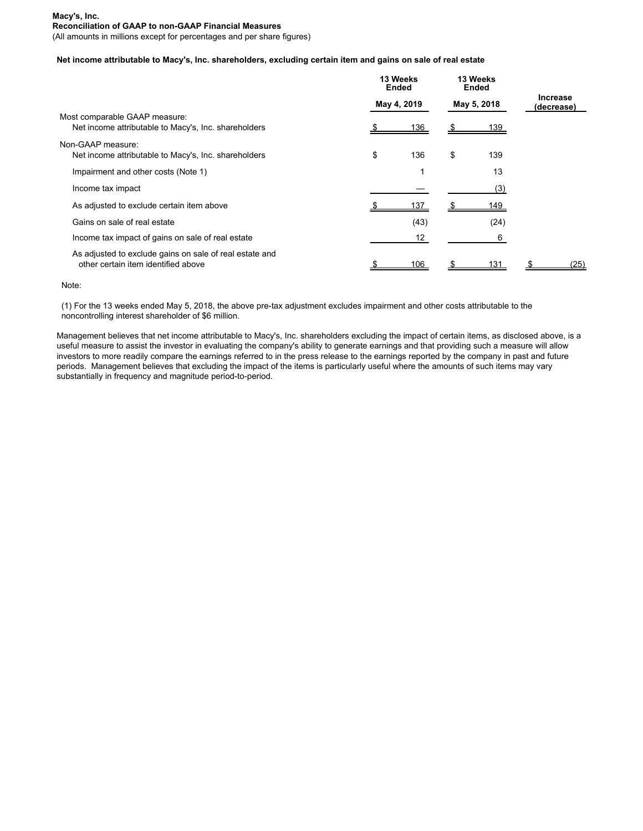### **Macy's, Inc. Reconciliation of GAAP to non-GAAP Financial Measures**

(All amounts in millions except for percentages and per share figures)

## **Net income attributable to Macy's, Inc. shareholders, excluding certain item and gains on sale of real estate**

|                                                                                                |             | 13 Weeks<br><b>Ended</b> |             | 13 Weeks<br>Ended | <b>Increase</b><br>(decrease) |  |
|------------------------------------------------------------------------------------------------|-------------|--------------------------|-------------|-------------------|-------------------------------|--|
| Most comparable GAAP measure:<br>Net income attributable to Macy's, Inc. shareholders          | May 4, 2019 |                          | May 5, 2018 |                   |                               |  |
|                                                                                                |             | 136                      |             | 139               |                               |  |
| Non-GAAP measure:<br>Net income attributable to Macy's, Inc. shareholders                      | \$          | 136                      | \$          | 139               |                               |  |
| Impairment and other costs (Note 1)                                                            |             |                          |             | 13                |                               |  |
| Income tax impact                                                                              |             |                          |             | (3)               |                               |  |
| As adjusted to exclude certain item above                                                      |             |                          |             | 49                |                               |  |
| Gains on sale of real estate                                                                   |             | (43)                     |             | (24)              |                               |  |
| Income tax impact of gains on sale of real estate                                              |             | 12                       |             | 6                 |                               |  |
| As adjusted to exclude gains on sale of real estate and<br>other certain item identified above |             | 106                      |             | ∣31               | 25)                           |  |

Note:

(1) For the 13 weeks ended May 5, 2018, the above pre-tax adjustment excludes impairment and other costs attributable to the noncontrolling interest shareholder of \$6 million.

Management believes that net income attributable to Macy's, Inc. shareholders excluding the impact of certain items, as disclosed above, is a useful measure to assist the investor in evaluating the company's ability to generate earnings and that providing such a measure will allow investors to more readily compare the earnings referred to in the press release to the earnings reported by the company in past and future periods. Management believes that excluding the impact of the items is particularly useful where the amounts of such items may vary substantially in frequency and magnitude period-to-period.